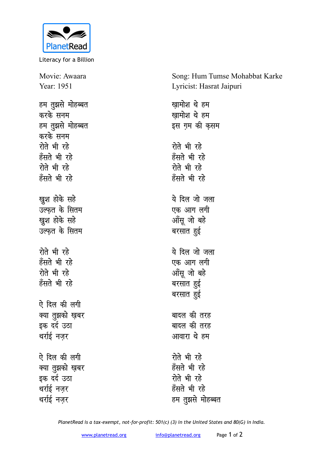

Literacy for a Billion

Movie: Awaara Year: 1951

हम तुझसे मोहब्बत करके सनम हम तुझसे मोहब्बत करके सनम **रोते भी रहे** हँसते भी रहे **रोते** भी रहे हँसते भी रहे **खुश होके सहे** उल्फत के सितम **खुश होके सहे** उल्फत के सितम <u>रोते भी रहे</u> हँसते भी रहे **रोते** भी रहे हँसते भी रहे ऐ दिल की लगी क्या तुझको ख़बर **<del>s**क दर्द उठा</del> थर्राई नजर ऐ दिल की लगी क्या तुझको ख़बर इक दर्द उठा थर्राई नजर

थर्राई नज़र

Song: Hum Tumse Mohabbat Karke Lyricist: Hasrat Jaipuri

खामोश थे हम खामोश थे हम इस ग़म की क<del>ृ</del>सम <u>रोते भी रहे</u> हँसते भी रहे **रोते** भी रहे हँसते भी रहे <u>ये दिल जो जला</u> एक आग लग<mark>ी</mark> <u>ऑसू</u> जो बहे बरसात <u>ह</u>ुई ये दिल जो जला एक आग लगी <u>ऑस</u> जो बहे बरसात <u>ह</u>ुई बरसात हुई बादल की तरह बादल की तरह आवारा थे **हम** <u>रोते भी रहे</u> हँसते भी रहे **रोते** भी रहे हँसते भी रहे हम तुझसे मोहब्बत

*PlanetRead is a tax-exempt, not-for-profit: 501(c) (3) in the United States and 80(G) in India.*